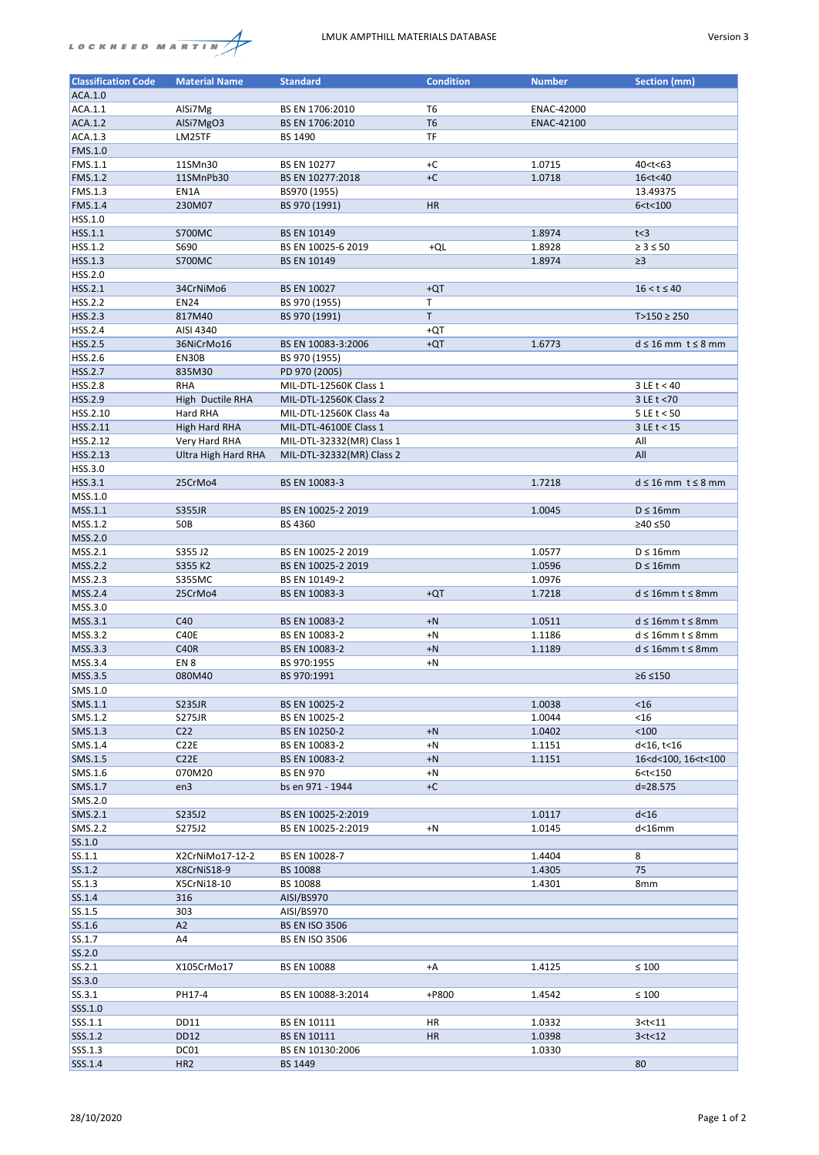## LMUK AMPTHILL MATERIALS DATABASE Version 3



| <b>Classification Code</b> | <b>Material Name</b> | <b>Standard</b>           | <b>Condition</b> | <b>Number</b>     | <b>Section (mm)</b>                     |
|----------------------------|----------------------|---------------------------|------------------|-------------------|-----------------------------------------|
| ACA.1.0                    |                      |                           |                  |                   |                                         |
|                            |                      |                           |                  |                   |                                         |
| ACA.1.1                    | AlSi7Mg              | BS EN 1706:2010           | T <sub>6</sub>   | ENAC-42000        |                                         |
| ACA.1.2                    | AlSi7MgO3            | BS EN 1706:2010           | T <sub>6</sub>   | <b>ENAC-42100</b> |                                         |
| ACA.1.3                    | LM25TF               | BS 1490                   | <b>TF</b>        |                   |                                         |
| FMS.1.0                    |                      |                           |                  |                   |                                         |
| FMS.1.1                    | 11SMn30              | <b>BS EN 10277</b>        | $+C$             | 1.0715            | 40 <t<63< td=""></t<63<>                |
|                            |                      |                           |                  |                   |                                         |
| <b>FMS.1.2</b>             | 11SMnPb30            | BS EN 10277:2018          | $+C$             | 1.0718            | 16 <t<40< td=""></t<40<>                |
| FMS.1.3                    | EN1A                 | BS970 (1955)              |                  |                   | 13.49375                                |
| FMS.1.4                    | 230M07               | BS 970 (1991)             | HR               |                   | 6 < t < 100                             |
| HSS.1.0                    |                      |                           |                  |                   |                                         |
| HSS.1.1                    | <b>S700MC</b>        | <b>BS EN 10149</b>        |                  | 1.8974            | t<3                                     |
| HSS.1.2                    | S690                 | BS EN 10025-6 2019        | +QL              | 1.8928            | $\geq 3 \leq 50$                        |
|                            |                      |                           |                  |                   |                                         |
| HSS.1.3                    | <b>S700MC</b>        | <b>BS EN 10149</b>        |                  | 1.8974            | $\geq$ 3                                |
| HSS.2.0                    |                      |                           |                  |                   |                                         |
| HSS.2.1                    | 34CrNiMo6            | <b>BS EN 10027</b>        | $+QT$            |                   | $16 < t \le 40$                         |
| HSS.2.2                    | <b>EN24</b>          | BS 970 (1955)             | T                |                   |                                         |
| HSS.2.3                    | 817M40               | BS 970 (1991)             | T                |                   | $T>150 \ge 250$                         |
| HSS.2.4                    | AISI 4340            |                           | +QT              |                   |                                         |
| <b>HSS.2.5</b>             | 36NiCrMo16           | BS EN 10083-3:2006        | $+QT$            | 1.6773            | $d \leq 16$ mm $t \leq 8$ mm            |
|                            | <b>EN30B</b>         |                           |                  |                   |                                         |
| HSS.2.6                    |                      | BS 970 (1955)             |                  |                   |                                         |
| HSS.2.7                    | 835M30               | PD 970 (2005)             |                  |                   |                                         |
| <b>HSS.2.8</b>             | <b>RHA</b>           | MIL-DTL-12560K Class 1    |                  |                   | $3 \, \text{LE} t < 40$                 |
| HSS.2.9                    | High Ductile RHA     | MIL-DTL-12560K Class 2    |                  |                   | 3 LE t < 70                             |
| HSS.2.10                   | Hard RHA             | MIL-DTL-12560K Class 4a   |                  |                   | $5 \text{ LE}$ t < 50                   |
| HSS.2.11                   | <b>High Hard RHA</b> | MIL-DTL-46100E Class 1    |                  |                   | $3 \text{ LE}$ t < 15                   |
| HSS.2.12                   | Very Hard RHA        | MIL-DTL-32332(MR) Class 1 |                  |                   | All                                     |
|                            |                      |                           |                  |                   |                                         |
| HSS.2.13                   | Ultra High Hard RHA  | MIL-DTL-32332(MR) Class 2 |                  |                   | All                                     |
| HSS.3.0                    |                      |                           |                  |                   |                                         |
| HSS.3.1                    | 25CrMo4              | BS EN 10083-3             |                  | 1.7218            | $d \leq 16$ mm $t \leq 8$ mm            |
| MSS.1.0                    |                      |                           |                  |                   |                                         |
| MSS.1.1                    | <b>S355JR</b>        | BS EN 10025-2 2019        |                  | 1.0045            | $D \leq 16$ mm                          |
| MSS.1.2                    | 50B                  | BS 4360                   |                  |                   | ≥40 ≤50                                 |
|                            |                      |                           |                  |                   |                                         |
| MSS.2.0                    |                      |                           |                  |                   |                                         |
| MSS.2.1                    | S355 J2              | BS EN 10025-2 2019        |                  | 1.0577            | $D \leq 16$ mm                          |
| MSS.2.2                    | S355 K2              | BS EN 10025-2 2019        |                  | 1.0596            | $D \leq 16$ mm                          |
| MSS.2.3                    | <b>S355MC</b>        | BS EN 10149-2             |                  | 1.0976            |                                         |
| MSS.2.4                    | 25CrMo4              | BS EN 10083-3             | $+QT$            | 1.7218            | $d \leq 16$ mm t $\leq 8$ mm            |
| MSS.3.0                    |                      |                           |                  |                   |                                         |
|                            | C40                  |                           |                  |                   |                                         |
| MSS.3.1                    |                      | BS EN 10083-2             | $+N$             | 1.0511            | $d \leq 16$ mm t $\leq 8$ mm            |
| MSS.3.2                    | C40E                 | BS EN 10083-2             | $+N$             | 1.1186            | $d \leq 16$ mm t $\leq 8$ mm            |
| MSS.3.3                    | <b>C40R</b>          | BS EN 10083-2             | $+N$             | 1.1189            | $d \leq 16$ mm t $\leq 8$ mm            |
| MSS.3.4                    | EN <sub>8</sub>      | BS 970:1955               | $+N$             |                   |                                         |
| MSS.3.5                    | 080M40               | BS 970:1991               |                  |                   | $≥6 ≤ 150$                              |
| SMS.1.0                    |                      |                           |                  |                   |                                         |
| SMS.1.1                    | <b>S235JR</b>        | BS EN 10025-2             |                  | 1.0038            | < 16                                    |
|                            |                      |                           |                  |                   |                                         |
| SMS.1.2                    | <b>S275JR</b>        | BS EN 10025-2             |                  | 1.0044            | < 16                                    |
| SMS.1.3                    | C <sub>22</sub>      | BS EN 10250-2             | $+N$             | 1.0402            | < 100                                   |
| SMS.1.4                    | C22E                 | BS EN 10083-2             | $+N$             | 1.1151            | d<16, t<16                              |
| SMS.1.5                    | C22E                 | BS EN 10083-2             | $+N$             | 1.1151            | 16 <d<100, 16<t<100<="" td=""></d<100,> |
| SMS.1.6                    | 070M20               | <b>BS EN 970</b>          | $+N$             |                   | 6 < t < 150                             |
| SMS.1.7                    | en3                  | bs en 971 - 1944          | $+C$             |                   | d=28.575                                |
| SMS.2.0                    |                      |                           |                  |                   |                                         |
|                            |                      |                           |                  |                   |                                         |
| SMS.2.1                    | S235J2               | BS EN 10025-2:2019        |                  | 1.0117            | $d<$ 16                                 |
| SMS.2.2                    | S275J2               | BS EN 10025-2:2019        | $+N$             | 1.0145            | $d<$ 16 $m$ m                           |
| SS.1.0                     |                      |                           |                  |                   |                                         |
| SS.1.1                     | X2CrNiMo17-12-2      | BS EN 10028-7             |                  | 1.4404            | 8                                       |
| SS.1.2                     | X8CrNiS18-9          | BS 10088                  |                  | 1.4305            | 75                                      |
| SS.1.3                     | X5CrNi18-10          | BS 10088                  |                  | 1.4301            | 8mm                                     |
| SS.1.4                     | 316                  | AISI/BS970                |                  |                   |                                         |
|                            |                      |                           |                  |                   |                                         |
| SS.1.5                     | 303                  | AISI/BS970                |                  |                   |                                         |
| SS.1.6                     | A2                   | <b>BS EN ISO 3506</b>     |                  |                   |                                         |
| SS.1.7                     | A4                   | <b>BS EN ISO 3506</b>     |                  |                   |                                         |
| SS.2.0                     |                      |                           |                  |                   |                                         |
| SS.2.1                     | X105CrMo17           | <b>BS EN 10088</b>        | $+A$             | 1.4125            | $\leq 100$                              |
| SS.3.0                     |                      |                           |                  |                   |                                         |
|                            |                      |                           |                  |                   |                                         |
| SS.3.1                     | PH17-4               | BS EN 10088-3:2014        | +P800            | 1.4542            | $\leq 100$                              |
| SSS.1.0                    |                      |                           |                  |                   |                                         |
| SSS.1.1                    | <b>DD11</b>          | BS EN 10111               | HR               | 1.0332            | 3 < t < 11                              |
| SSS.1.2                    | <b>DD12</b>          | <b>BS EN 10111</b>        | <b>HR</b>        | 1.0398            | 3 < t < 12                              |
| SSS.1.3                    | DC01                 | BS EN 10130:2006          |                  | 1.0330            |                                         |
| SSS.1.4                    | HR <sub>2</sub>      | BS 1449                   |                  |                   | 80                                      |
|                            |                      |                           |                  |                   |                                         |